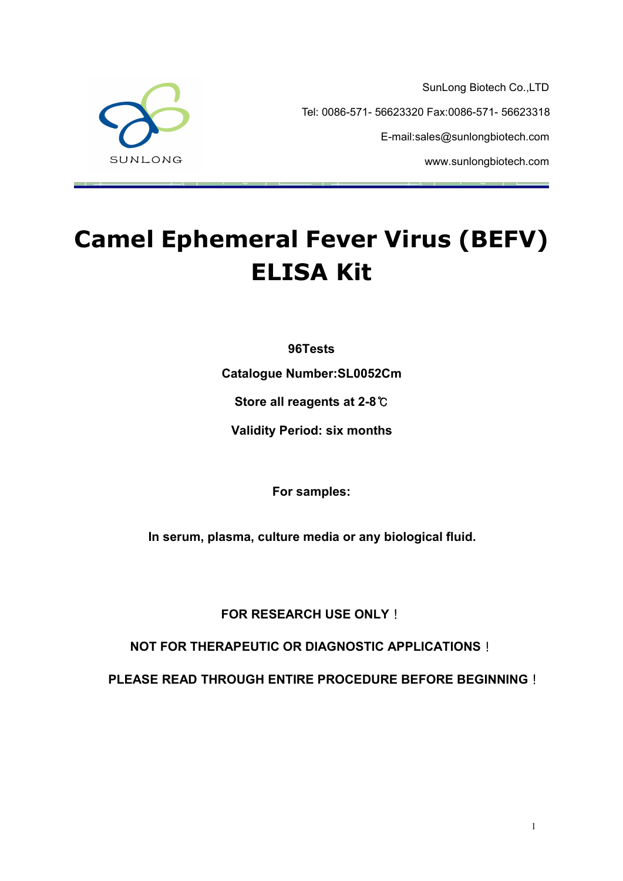SunLong Biotech Co.,LTD Tel: 0086-571- 56623320 Fax:0086-571- 56623318 E-mail:sales@sunlongbiotech.com www.sunlongbiotech.com



# **Camel Ephemeral Fever Virus (BEFV) ELISA Kit**

**96Tests**

**Catalogue Number:SL0052Cm**

**Store all reagents at 2-8**℃

**Validity Period: six months**

**For samples:**

**In serum, plasma, culture media or any biological fluid.**

**FOR RESEARCH USE ONLY**!

**NOT FOR THERAPEUTIC OR DIAGNOSTIC APPLICATIONS**!

**PLEASE READ THROUGH ENTIRE PROCEDURE BEFORE BEGINNING**!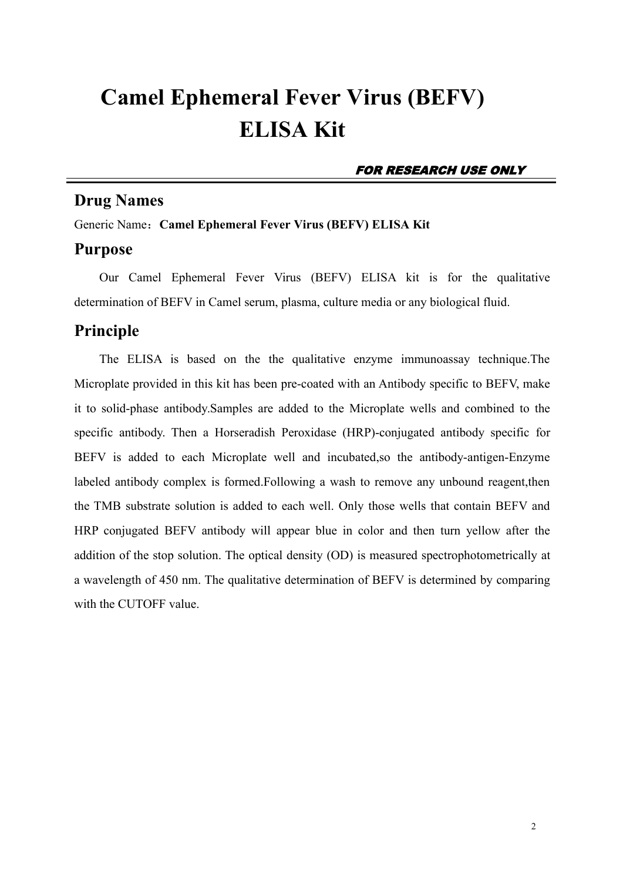## **Camel Ephemeral Fever Virus (BEFV) ELISA Kit**

#### FOR RESEARCH USE ONLY

## **Drug Names**

Generic Name:**Camel Ephemeral Fever Virus (BEFV) ELISA Kit**

### **Purpose**

Our Camel Ephemeral Fever Virus (BEFV) ELISA kit is for the qualitative determination of BEFV in Camel serum, plasma, culture media or any biological fluid.

## **Principle**

The ELISA is based on the the qualitative enzyme immunoassay technique. The Microplate provided in this kit has been pre-coated with an Antibody specific to BEFV, make it to solid-phase antibody.Samples are added to the Microplate wells and combined to the specific antibody. Then a Horseradish Peroxidase (HRP)-conjugated antibody specific for BEFV is added to each Microplate well and incubated,so the antibody-antigen-Enzyme labeled antibody complex is formed.Following a wash to remove any unbound reagent,then the TMB substrate solution is added to each well. Only those wells that contain BEFV and HRP conjugated BEFV antibody will appear blue in color and then turn yellow after the addition of the stop solution. The optical density (OD) is measured spectrophotometrically at a wavelength of 450 nm.The qualitative determination of BEFV is determined by comparing with the CUTOFF value.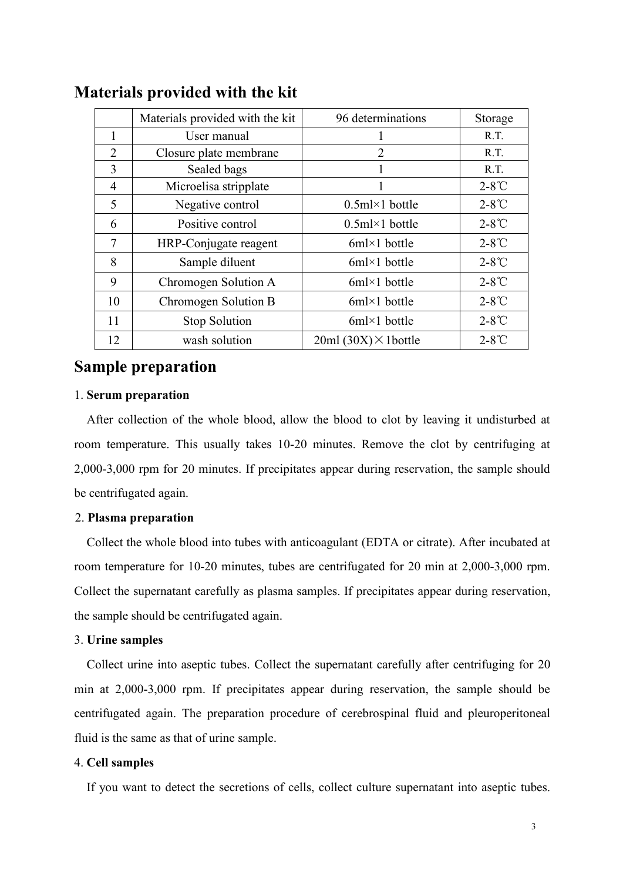|                | Materials provided with the kit | 96 determinations           | Storage         |
|----------------|---------------------------------|-----------------------------|-----------------|
|                | User manual                     |                             | R.T.            |
| $\overline{2}$ | Closure plate membrane          | 2                           | R.T.            |
| 3              | Sealed bags                     |                             | R.T.            |
| 4              | Microelisa stripplate           |                             | $2-8^{\circ}$ C |
| 5              | Negative control                | $0.5$ ml×1 bottle           | $2-8^{\circ}$ C |
| 6              | Positive control                | $0.5$ ml×1 bottle           | $2-8^{\circ}$ C |
| 7              | HRP-Conjugate reagent           | $6ml \times 1$ bottle       | $2-8^\circ$ C   |
| 8              | Sample diluent                  | $6ml \times 1$ bottle       | $2-8^{\circ}$ C |
| 9              | Chromogen Solution A            | $6ml \times 1$ bottle       | $2-8^{\circ}$ C |
| 10             | Chromogen Solution B            | $6ml \times 1$ bottle       | $2-8^{\circ}$ C |
| 11             | Stop Solution                   | $6ml \times 1$ bottle       | $2-8^{\circ}$ C |
| 12             | wash solution                   | $20ml (30X) \times 1bottle$ | $2-8^{\circ}$ C |

## **Materials provided with the kit**

## **Sample preparation**

#### 1. **Serum preparation**

After collection of the whole blood, allow the blood to clot by leaving it undisturbed at room temperature. This usually takes 10-20 minutes. Remove the clot by centrifuging at 2,000-3,000 rpm for 20 minutes. If precipitates appear during reservation, the sample should be centrifugated again.

#### 2. **Plasma preparation**

Collect the whole blood into tubes with anticoagulant (EDTA or citrate). After incubated at room temperature for 10-20 minutes, tubes are centrifugated for 20 min at 2,000-3,000 rpm. Collect the supernatant carefully as plasma samples. If precipitates appear during reservation, the sample should be centrifugated again.

#### 3. **Urine samples**

Collect urine into aseptic tubes. Collect the supernatant carefully after centrifuging for 20 min at 2,000-3,000 rpm. If precipitates appear during reservation, the sample should be centrifugated again. The preparation procedure of cerebrospinal fluid and pleuroperitoneal fluid is the same as that of urine sample.

#### 4. **Cell samples**

If you want to detect the secretions of cells, collect culture supernatant into aseptic tubes.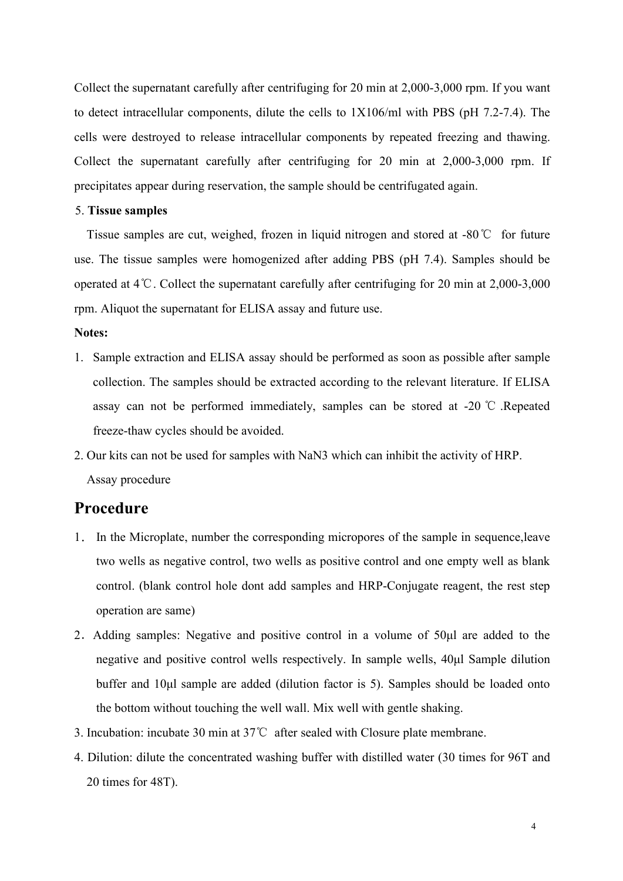Collect the supernatant carefully after centrifuging for 20 min at 2,000-3,000 rpm. If you want to detect intracellular components, dilute the cells to 1X106/ml with PBS (pH 7.2-7.4). The cells were destroyed to release intracellular components by repeated freezing and thawing. Collect the supernatant carefully after centrifuging for 20 min at 2,000-3,000 rpm. If precipitates appear during reservation, the sample should be centrifugated again.

#### 5. **Tissue samples**

Tissue samples are cut, weighed, frozen in liquid nitrogen and stored at -80℃ for future use. The tissue samples were homogenized after adding PBS (pH 7.4). Samples should be operated at 4℃. Collect the supernatant carefully after centrifuging for 20 min at 2,000-3,000 rpm. Aliquot the supernatant for ELISA assay and future use.

#### **Notes:**

- 1. Sample extraction and ELISA assay should be performed as soon as possible after sample collection. The samples should be extracted according to the relevant literature. If ELISA assay can not be performed immediately, samples can be stored at -20 ℃ .Repeated freeze-thaw cycles should be avoided.2. Our kits can not be used for samples with NaN3 which can inhibit the activity of HRP.
- Assay procedure

### **Procedure**

- 1. In the Microplate, number the corresponding micropores of the sample in sequence,leave two wells as negative control, two wells as positive controland one empty well as blank control. (blank control hole dont add samples and HRP-Conjugate reagent, the rest step operation are same)
- 2.Adding samples: Negative and positive control in a volume of 50μl are added to the negative and positive control wells respectively. In sample wells, 40μl Sample dilution buffer and 10μl sample are added (dilution factor is 5). Samples should be loaded onto the bottom without touching the well wall. Mix well with gentle shaking.
- 3. Incubation: incubate 30 min at 37℃ after sealed with Closure plate membrane.
- 4. Dilution: dilute the concentrated washing buffer with distilled water (30 times for 96T and 20 times for 48T).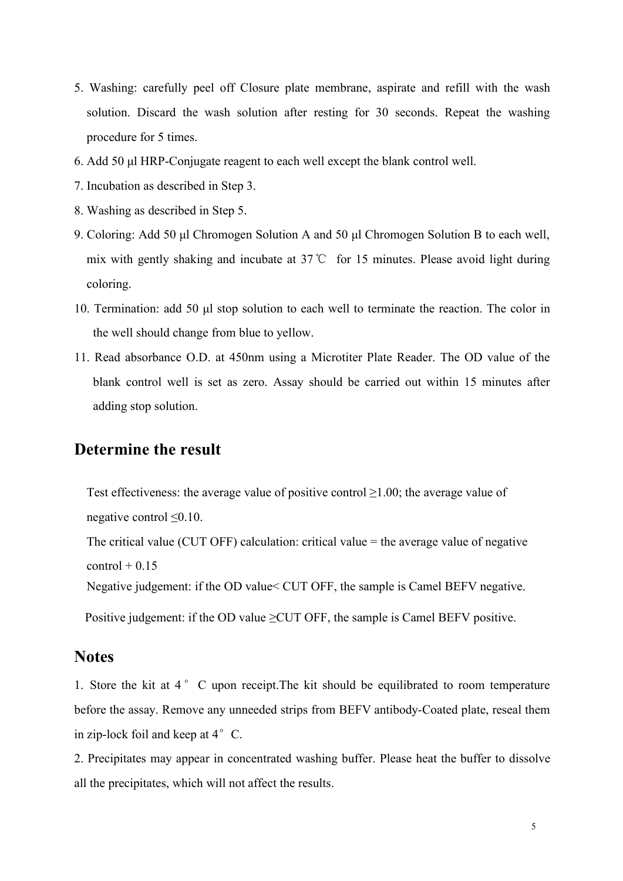- 5. Washing: carefully peel off Closure plate membrane, aspirate and refill with the wash solution. Discard the wash solution after resting for 30 seconds. Repeat the washing procedure for 5 times.
- 6. Add 50 μl HRP-Conjugate reagent to each well except the blank control well.
- 7. Incubation as described in Step 3.
- 8. Washing as described in Step 5.
- 9. Coloring: Add 50 μl Chromogen Solution A and 50 μl Chromogen Solution B to each well, mix with gently shaking and incubate at 37℃ for 15 minutes. Please avoid light during coloring.
- 10. Termination: add 50 μl stop solution to each well to terminate the reaction. The color in the well should change from blue to yellow.
- 11. Read absorbance O.D. at 450nm using a Microtiter Plate Reader. The OD value of the blank control well is set as zero. Assay should be carried out within 15 minutes after adding stop solution.

## **Determine the result**

Test effectiveness: the average value of positive control≥1.00; the average value of negative control≤0.10.

The critical value (CUT OFF) calculation: critical value = the average value of negative  $control + 0.15$ 

Negative judgement: if the OD value< CUT OFF, the sample is Camel BEFV negative.

Positive judgement: if the OD value  $\geq$ CUT OFF, the sample is Camel BEFV positive.

#### **Notes**

1. Store the kit at 4 ° C upon receipt. The kit should be equilibrated to room temperature before the assay. Remove any unneeded strips from BEFV antibody-Coated plate, reseal them in zip-lock foil and keep at  $4^{\circ}$  C.

2. Precipitates may appear in concentrated washing buffer. Please heat the buffer to dissolve all the precipitates, which will not affect the results.